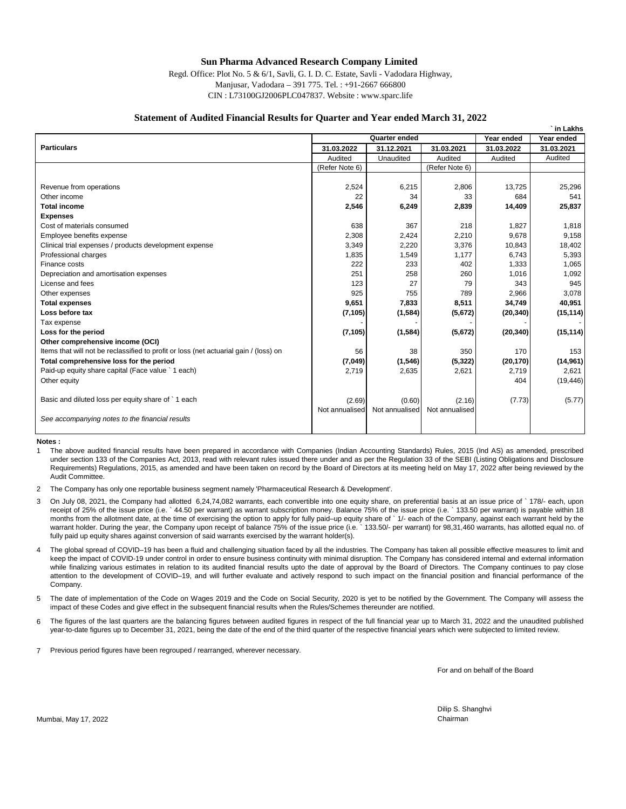### **Sun Pharma Advanced Research Company Limited**

Regd. Office: Plot No. 5 & 6/1, Savli, G. I. D. C. Estate, Savli - Vadodara Highway, Manjusar, Vadodara – 391 775. Tel. : +91-2667 666800 CIN : L73100GJ2006PLC047837. Website : www.sparc.life

#### **Statement of Audited Financial Results for Quarter and Year ended March 31, 2022**

|                                                                                       |                             |                |                |            | in Lakhs   |
|---------------------------------------------------------------------------------------|-----------------------------|----------------|----------------|------------|------------|
|                                                                                       | Quarter ended<br>Year ended |                |                |            | Year ended |
| <b>Particulars</b>                                                                    | 31.03.2022                  | 31.12.2021     | 31.03.2021     | 31.03.2022 | 31.03.2021 |
|                                                                                       | Audited                     | Unaudited      | Audited        | Audited    | Audited    |
|                                                                                       | (Refer Note 6)              |                | (Refer Note 6) |            |            |
|                                                                                       |                             |                |                |            |            |
| Revenue from operations                                                               | 2,524                       | 6,215          | 2,806          | 13.725     | 25,296     |
| Other income                                                                          | 22                          | 34             | 33             | 684        | 541        |
| <b>Total income</b>                                                                   | 2,546                       | 6,249          | 2,839          | 14,409     | 25,837     |
| <b>Expenses</b>                                                                       |                             |                |                |            |            |
| Cost of materials consumed                                                            | 638                         | 367            | 218            | 1,827      | 1,818      |
| Employee benefits expense                                                             | 2,308                       | 2,424          | 2,210          | 9,678      | 9,158      |
| Clinical trial expenses / products development expense                                | 3,349                       | 2,220          | 3,376          | 10,843     | 18,402     |
| Professional charges                                                                  | 1,835                       | 1,549          | 1,177          | 6,743      | 5,393      |
| Finance costs                                                                         | 222                         | 233            | 402            | 1,333      | 1,065      |
| Depreciation and amortisation expenses                                                | 251                         | 258            | 260            | 1,016      | 1,092      |
| License and fees                                                                      | 123                         | 27             | 79             | 343        | 945        |
| Other expenses                                                                        | 925                         | 755            | 789            | 2,966      | 3,078      |
| <b>Total expenses</b>                                                                 | 9,651                       | 7,833          | 8,511          | 34,749     | 40,951     |
| Loss before tax                                                                       | (7, 105)                    | (1,584)        | (5,672)        | (20, 340)  | (15, 114)  |
| Tax expense                                                                           |                             |                |                |            |            |
| Loss for the period                                                                   | (7, 105)                    | (1,584)        | (5,672)        | (20, 340)  | (15, 114)  |
| Other comprehensive income (OCI)                                                      |                             |                |                |            |            |
| Items that will not be reclassified to profit or loss (net actuarial gain / (loss) on | 56                          | 38             | 350            | 170        | 153        |
| Total comprehensive loss for the period                                               | (7,049)                     | (1,546)        | (5, 322)       | (20, 170)  | (14, 961)  |
| Paid-up equity share capital (Face value ` 1 each)                                    | 2,719                       | 2,635          | 2,621          | 2,719      | 2,621      |
| Other equity                                                                          |                             |                |                | 404        | (19, 446)  |
|                                                                                       |                             |                |                |            |            |
| Basic and diluted loss per equity share of `1 each                                    | (2.69)                      | (0.60)         | (2.16)         | (7.73)     | (5.77)     |
|                                                                                       | Not annualised              | Not annualised | Not annualised |            |            |
| See accompanying notes to the financial results                                       |                             |                |                |            |            |
|                                                                                       |                             |                |                |            |            |
|                                                                                       |                             |                |                |            |            |

**Notes :**

1 The above audited financial results have been prepared in accordance with Companies (Indian Accounting Standards) Rules, 2015 (Ind AS) as amended, prescribed under section 133 of the Companies Act, 2013, read with relevant rules issued there under and as per the Regulation 33 of the SEBI (Listing Obligations and Disclosure Requirements) Regulations, 2015, as amended and have been taken on record by the Board of Directors at its meeting held on May 17, 2022 after being reviewed by the Audit Committee.

 $\overline{2}$ The Company has only one reportable business segment namely 'Pharmaceutical Research & Development'.

- 3 On July 08, 2021, the Company had allotted 6,24,74,082 warrants, each convertible into one equity share, on preferential basis at an issue price of ` 178/- each, upon receipt of 25% of the issue price (i.e. ` 44.50 per warrant) as warrant subscription money. Balance 75% of the issue price (i.e. ` 133.50 per warrant) is payable within 18 months from the allotment date, at the time of exercising the option to apply for fully paid–up equity share of ` 1/- each of the Company, against each warrant held by the warrant holder. During the year, the Company upon receipt of balance 75% of the issue price (i.e. ` 133.50/- per warrant) for 98,31,460 warrants, has allotted equal no. of fully paid up equity shares against conversion of said warrants exercised by the warrant holder(s).
- 4 The global spread of COVID–19 has been a fluid and challenging situation faced by all the industries. The Company has taken all possible effective measures to limit and keep the impact of COVID-19 under control in order to ensure business continuity with minimal disruption. The Company has considered internal and external information while finalizing various estimates in relation to its audited financial results upto the date of approval by the Board of Directors. The Company continues to pay close attention to the development of COVID–19, and will further evaluate and actively respond to such impact on the financial position and financial performance of the Company.
- 5 The date of implementation of the Code on Wages 2019 and the Code on Social Security, 2020 is yet to be notified by the Government. The Company will assess the impact of these Codes and give effect in the subsequent financial results when the Rules/Schemes thereunder are notified.
- 6 The figures of the last quarters are the balancing figures between audited figures in respect of the full financial year up to March 31, 2022 and the unaudited published year-to-date figures up to December 31, 2021, being the date of the end of the third quarter of the respective financial years which were subjected to limited review.
- 7 Previous period figures have been regrouped / rearranged, wherever necessary.

For and on behalf of the Board

Dilip S. Shanghvi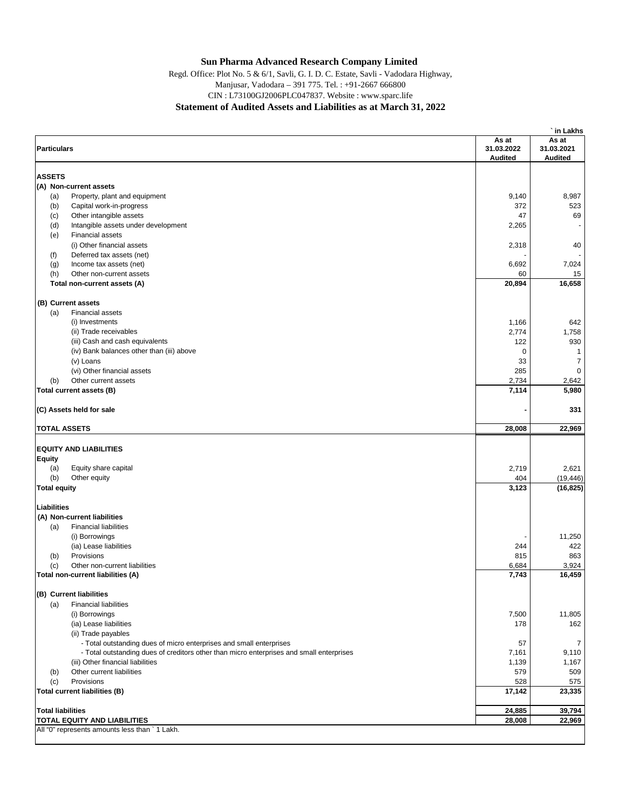# **Sun Pharma Advanced Research Company Limited**

CIN : L73100GJ2006PLC047837. Website : www.sparc.life **Statement of Audited Assets and Liabilities as at March 31, 2022** Manjusar, Vadodara – 391 775. Tel. : +91-2667 666800 Regd. Office: Plot No. 5 & 6/1, Savli, G. I. D. C. Estate, Savli - Vadodara Highway,

| As at<br>As at<br><b>Particulars</b><br>31.03.2022<br>31.03.2021<br><b>Audited</b><br><b>Audited</b><br><b>ASSETS</b><br>(A) Non-current assets<br>9,140<br>Property, plant and equipment<br>8,987<br>(a)<br>(b)<br>Capital work-in-progress<br>372<br>47<br>Other intangible assets<br>(c)<br>2,265<br>(d)<br>Intangible assets under development<br>٠<br><b>Financial assets</b><br>(e)<br>(i) Other financial assets<br>2,318<br>(f)<br>Deferred tax assets (net)<br>6,692<br>(g)<br>Income tax assets (net)<br>Other non-current assets<br>60<br>(h)<br>16,658<br>20,894<br>Total non-current assets (A)<br>(B) Current assets<br><b>Financial assets</b><br>(a)<br>(i) Investments<br>1,166<br>(ii) Trade receivables<br>2,774<br>(iii) Cash and cash equivalents<br>930<br>122<br>(iv) Bank balances other than (iii) above<br>0<br>$\mathbf{1}$<br>$\overline{7}$<br>33<br>(v) Loans<br>285<br>$\mathbf 0$<br>(vi) Other financial assets<br>Other current assets<br>2,734<br>2,642<br>(b)<br>7,114<br>5,980<br>Total current assets (B)<br>(C) Assets held for sale<br><b>TOTAL ASSETS</b><br>28,008<br><b>EQUITY AND LIABILITIES</b><br><b>Equity</b><br>Equity share capital<br>2,719<br>2,621<br>(a)<br>(b)<br>Other equity<br>404<br>(19, 446)<br>3,123<br><b>Total equity</b><br>(16, 825)<br>Liabilities<br>(A) Non-current liabilities<br><b>Financial liabilities</b><br>(a)<br>(i) Borrowings<br>(ia) Lease liabilities<br>244<br>Provisions<br>815<br>(b)<br>Other non-current liabilities<br>6,684<br>(c)<br>7,743<br>Total non-current liabilities (A)<br>(B) Current liabilities<br><b>Financial liabilities</b><br>(a)<br>7,500<br>(i) Borrowings<br>178<br>(ia) Lease liabilities<br>(ii) Trade payables<br>- Total outstanding dues of micro enterprises and small enterprises<br>57<br>- Total outstanding dues of creditors other than micro enterprises and small enterprises<br>9,110<br>7,161<br>(iii) Other financial liabilities<br>1,167<br>1,139<br>Other current liabilities<br>579<br>509<br>(b)<br>Provisions<br>528<br>(c)<br>17,142<br><b>Total current liabilities (B)</b><br>23,335<br>24,885<br><b>Total liabilities</b><br>28,008<br><b>TOTAL EQUITY AND LIABILITIES</b><br>All "0" represents amounts less than ` 1 Lakh. |  | in Lakhs       |
|----------------------------------------------------------------------------------------------------------------------------------------------------------------------------------------------------------------------------------------------------------------------------------------------------------------------------------------------------------------------------------------------------------------------------------------------------------------------------------------------------------------------------------------------------------------------------------------------------------------------------------------------------------------------------------------------------------------------------------------------------------------------------------------------------------------------------------------------------------------------------------------------------------------------------------------------------------------------------------------------------------------------------------------------------------------------------------------------------------------------------------------------------------------------------------------------------------------------------------------------------------------------------------------------------------------------------------------------------------------------------------------------------------------------------------------------------------------------------------------------------------------------------------------------------------------------------------------------------------------------------------------------------------------------------------------------------------------------------------------------------------------------------------------------------------------------------------------------------------------------------------------------------------------------------------------------------------------------------------------------------------------------------------------------------------------------------------------------------------------------------------------------------------------------------------------------------------------------------------------------------------------------|--|----------------|
|                                                                                                                                                                                                                                                                                                                                                                                                                                                                                                                                                                                                                                                                                                                                                                                                                                                                                                                                                                                                                                                                                                                                                                                                                                                                                                                                                                                                                                                                                                                                                                                                                                                                                                                                                                                                                                                                                                                                                                                                                                                                                                                                                                                                                                                                      |  |                |
|                                                                                                                                                                                                                                                                                                                                                                                                                                                                                                                                                                                                                                                                                                                                                                                                                                                                                                                                                                                                                                                                                                                                                                                                                                                                                                                                                                                                                                                                                                                                                                                                                                                                                                                                                                                                                                                                                                                                                                                                                                                                                                                                                                                                                                                                      |  |                |
|                                                                                                                                                                                                                                                                                                                                                                                                                                                                                                                                                                                                                                                                                                                                                                                                                                                                                                                                                                                                                                                                                                                                                                                                                                                                                                                                                                                                                                                                                                                                                                                                                                                                                                                                                                                                                                                                                                                                                                                                                                                                                                                                                                                                                                                                      |  |                |
|                                                                                                                                                                                                                                                                                                                                                                                                                                                                                                                                                                                                                                                                                                                                                                                                                                                                                                                                                                                                                                                                                                                                                                                                                                                                                                                                                                                                                                                                                                                                                                                                                                                                                                                                                                                                                                                                                                                                                                                                                                                                                                                                                                                                                                                                      |  |                |
|                                                                                                                                                                                                                                                                                                                                                                                                                                                                                                                                                                                                                                                                                                                                                                                                                                                                                                                                                                                                                                                                                                                                                                                                                                                                                                                                                                                                                                                                                                                                                                                                                                                                                                                                                                                                                                                                                                                                                                                                                                                                                                                                                                                                                                                                      |  |                |
|                                                                                                                                                                                                                                                                                                                                                                                                                                                                                                                                                                                                                                                                                                                                                                                                                                                                                                                                                                                                                                                                                                                                                                                                                                                                                                                                                                                                                                                                                                                                                                                                                                                                                                                                                                                                                                                                                                                                                                                                                                                                                                                                                                                                                                                                      |  | 523            |
|                                                                                                                                                                                                                                                                                                                                                                                                                                                                                                                                                                                                                                                                                                                                                                                                                                                                                                                                                                                                                                                                                                                                                                                                                                                                                                                                                                                                                                                                                                                                                                                                                                                                                                                                                                                                                                                                                                                                                                                                                                                                                                                                                                                                                                                                      |  | 69             |
|                                                                                                                                                                                                                                                                                                                                                                                                                                                                                                                                                                                                                                                                                                                                                                                                                                                                                                                                                                                                                                                                                                                                                                                                                                                                                                                                                                                                                                                                                                                                                                                                                                                                                                                                                                                                                                                                                                                                                                                                                                                                                                                                                                                                                                                                      |  |                |
|                                                                                                                                                                                                                                                                                                                                                                                                                                                                                                                                                                                                                                                                                                                                                                                                                                                                                                                                                                                                                                                                                                                                                                                                                                                                                                                                                                                                                                                                                                                                                                                                                                                                                                                                                                                                                                                                                                                                                                                                                                                                                                                                                                                                                                                                      |  |                |
|                                                                                                                                                                                                                                                                                                                                                                                                                                                                                                                                                                                                                                                                                                                                                                                                                                                                                                                                                                                                                                                                                                                                                                                                                                                                                                                                                                                                                                                                                                                                                                                                                                                                                                                                                                                                                                                                                                                                                                                                                                                                                                                                                                                                                                                                      |  | 40             |
|                                                                                                                                                                                                                                                                                                                                                                                                                                                                                                                                                                                                                                                                                                                                                                                                                                                                                                                                                                                                                                                                                                                                                                                                                                                                                                                                                                                                                                                                                                                                                                                                                                                                                                                                                                                                                                                                                                                                                                                                                                                                                                                                                                                                                                                                      |  |                |
|                                                                                                                                                                                                                                                                                                                                                                                                                                                                                                                                                                                                                                                                                                                                                                                                                                                                                                                                                                                                                                                                                                                                                                                                                                                                                                                                                                                                                                                                                                                                                                                                                                                                                                                                                                                                                                                                                                                                                                                                                                                                                                                                                                                                                                                                      |  | 7,024          |
|                                                                                                                                                                                                                                                                                                                                                                                                                                                                                                                                                                                                                                                                                                                                                                                                                                                                                                                                                                                                                                                                                                                                                                                                                                                                                                                                                                                                                                                                                                                                                                                                                                                                                                                                                                                                                                                                                                                                                                                                                                                                                                                                                                                                                                                                      |  | 15             |
|                                                                                                                                                                                                                                                                                                                                                                                                                                                                                                                                                                                                                                                                                                                                                                                                                                                                                                                                                                                                                                                                                                                                                                                                                                                                                                                                                                                                                                                                                                                                                                                                                                                                                                                                                                                                                                                                                                                                                                                                                                                                                                                                                                                                                                                                      |  |                |
|                                                                                                                                                                                                                                                                                                                                                                                                                                                                                                                                                                                                                                                                                                                                                                                                                                                                                                                                                                                                                                                                                                                                                                                                                                                                                                                                                                                                                                                                                                                                                                                                                                                                                                                                                                                                                                                                                                                                                                                                                                                                                                                                                                                                                                                                      |  |                |
|                                                                                                                                                                                                                                                                                                                                                                                                                                                                                                                                                                                                                                                                                                                                                                                                                                                                                                                                                                                                                                                                                                                                                                                                                                                                                                                                                                                                                                                                                                                                                                                                                                                                                                                                                                                                                                                                                                                                                                                                                                                                                                                                                                                                                                                                      |  |                |
|                                                                                                                                                                                                                                                                                                                                                                                                                                                                                                                                                                                                                                                                                                                                                                                                                                                                                                                                                                                                                                                                                                                                                                                                                                                                                                                                                                                                                                                                                                                                                                                                                                                                                                                                                                                                                                                                                                                                                                                                                                                                                                                                                                                                                                                                      |  | 642            |
|                                                                                                                                                                                                                                                                                                                                                                                                                                                                                                                                                                                                                                                                                                                                                                                                                                                                                                                                                                                                                                                                                                                                                                                                                                                                                                                                                                                                                                                                                                                                                                                                                                                                                                                                                                                                                                                                                                                                                                                                                                                                                                                                                                                                                                                                      |  | 1,758          |
|                                                                                                                                                                                                                                                                                                                                                                                                                                                                                                                                                                                                                                                                                                                                                                                                                                                                                                                                                                                                                                                                                                                                                                                                                                                                                                                                                                                                                                                                                                                                                                                                                                                                                                                                                                                                                                                                                                                                                                                                                                                                                                                                                                                                                                                                      |  |                |
|                                                                                                                                                                                                                                                                                                                                                                                                                                                                                                                                                                                                                                                                                                                                                                                                                                                                                                                                                                                                                                                                                                                                                                                                                                                                                                                                                                                                                                                                                                                                                                                                                                                                                                                                                                                                                                                                                                                                                                                                                                                                                                                                                                                                                                                                      |  |                |
|                                                                                                                                                                                                                                                                                                                                                                                                                                                                                                                                                                                                                                                                                                                                                                                                                                                                                                                                                                                                                                                                                                                                                                                                                                                                                                                                                                                                                                                                                                                                                                                                                                                                                                                                                                                                                                                                                                                                                                                                                                                                                                                                                                                                                                                                      |  |                |
|                                                                                                                                                                                                                                                                                                                                                                                                                                                                                                                                                                                                                                                                                                                                                                                                                                                                                                                                                                                                                                                                                                                                                                                                                                                                                                                                                                                                                                                                                                                                                                                                                                                                                                                                                                                                                                                                                                                                                                                                                                                                                                                                                                                                                                                                      |  |                |
|                                                                                                                                                                                                                                                                                                                                                                                                                                                                                                                                                                                                                                                                                                                                                                                                                                                                                                                                                                                                                                                                                                                                                                                                                                                                                                                                                                                                                                                                                                                                                                                                                                                                                                                                                                                                                                                                                                                                                                                                                                                                                                                                                                                                                                                                      |  |                |
|                                                                                                                                                                                                                                                                                                                                                                                                                                                                                                                                                                                                                                                                                                                                                                                                                                                                                                                                                                                                                                                                                                                                                                                                                                                                                                                                                                                                                                                                                                                                                                                                                                                                                                                                                                                                                                                                                                                                                                                                                                                                                                                                                                                                                                                                      |  |                |
|                                                                                                                                                                                                                                                                                                                                                                                                                                                                                                                                                                                                                                                                                                                                                                                                                                                                                                                                                                                                                                                                                                                                                                                                                                                                                                                                                                                                                                                                                                                                                                                                                                                                                                                                                                                                                                                                                                                                                                                                                                                                                                                                                                                                                                                                      |  | 331            |
|                                                                                                                                                                                                                                                                                                                                                                                                                                                                                                                                                                                                                                                                                                                                                                                                                                                                                                                                                                                                                                                                                                                                                                                                                                                                                                                                                                                                                                                                                                                                                                                                                                                                                                                                                                                                                                                                                                                                                                                                                                                                                                                                                                                                                                                                      |  | 22,969         |
|                                                                                                                                                                                                                                                                                                                                                                                                                                                                                                                                                                                                                                                                                                                                                                                                                                                                                                                                                                                                                                                                                                                                                                                                                                                                                                                                                                                                                                                                                                                                                                                                                                                                                                                                                                                                                                                                                                                                                                                                                                                                                                                                                                                                                                                                      |  |                |
|                                                                                                                                                                                                                                                                                                                                                                                                                                                                                                                                                                                                                                                                                                                                                                                                                                                                                                                                                                                                                                                                                                                                                                                                                                                                                                                                                                                                                                                                                                                                                                                                                                                                                                                                                                                                                                                                                                                                                                                                                                                                                                                                                                                                                                                                      |  |                |
|                                                                                                                                                                                                                                                                                                                                                                                                                                                                                                                                                                                                                                                                                                                                                                                                                                                                                                                                                                                                                                                                                                                                                                                                                                                                                                                                                                                                                                                                                                                                                                                                                                                                                                                                                                                                                                                                                                                                                                                                                                                                                                                                                                                                                                                                      |  |                |
|                                                                                                                                                                                                                                                                                                                                                                                                                                                                                                                                                                                                                                                                                                                                                                                                                                                                                                                                                                                                                                                                                                                                                                                                                                                                                                                                                                                                                                                                                                                                                                                                                                                                                                                                                                                                                                                                                                                                                                                                                                                                                                                                                                                                                                                                      |  |                |
|                                                                                                                                                                                                                                                                                                                                                                                                                                                                                                                                                                                                                                                                                                                                                                                                                                                                                                                                                                                                                                                                                                                                                                                                                                                                                                                                                                                                                                                                                                                                                                                                                                                                                                                                                                                                                                                                                                                                                                                                                                                                                                                                                                                                                                                                      |  |                |
|                                                                                                                                                                                                                                                                                                                                                                                                                                                                                                                                                                                                                                                                                                                                                                                                                                                                                                                                                                                                                                                                                                                                                                                                                                                                                                                                                                                                                                                                                                                                                                                                                                                                                                                                                                                                                                                                                                                                                                                                                                                                                                                                                                                                                                                                      |  |                |
|                                                                                                                                                                                                                                                                                                                                                                                                                                                                                                                                                                                                                                                                                                                                                                                                                                                                                                                                                                                                                                                                                                                                                                                                                                                                                                                                                                                                                                                                                                                                                                                                                                                                                                                                                                                                                                                                                                                                                                                                                                                                                                                                                                                                                                                                      |  |                |
|                                                                                                                                                                                                                                                                                                                                                                                                                                                                                                                                                                                                                                                                                                                                                                                                                                                                                                                                                                                                                                                                                                                                                                                                                                                                                                                                                                                                                                                                                                                                                                                                                                                                                                                                                                                                                                                                                                                                                                                                                                                                                                                                                                                                                                                                      |  |                |
|                                                                                                                                                                                                                                                                                                                                                                                                                                                                                                                                                                                                                                                                                                                                                                                                                                                                                                                                                                                                                                                                                                                                                                                                                                                                                                                                                                                                                                                                                                                                                                                                                                                                                                                                                                                                                                                                                                                                                                                                                                                                                                                                                                                                                                                                      |  |                |
|                                                                                                                                                                                                                                                                                                                                                                                                                                                                                                                                                                                                                                                                                                                                                                                                                                                                                                                                                                                                                                                                                                                                                                                                                                                                                                                                                                                                                                                                                                                                                                                                                                                                                                                                                                                                                                                                                                                                                                                                                                                                                                                                                                                                                                                                      |  | 11,250         |
|                                                                                                                                                                                                                                                                                                                                                                                                                                                                                                                                                                                                                                                                                                                                                                                                                                                                                                                                                                                                                                                                                                                                                                                                                                                                                                                                                                                                                                                                                                                                                                                                                                                                                                                                                                                                                                                                                                                                                                                                                                                                                                                                                                                                                                                                      |  | 422            |
|                                                                                                                                                                                                                                                                                                                                                                                                                                                                                                                                                                                                                                                                                                                                                                                                                                                                                                                                                                                                                                                                                                                                                                                                                                                                                                                                                                                                                                                                                                                                                                                                                                                                                                                                                                                                                                                                                                                                                                                                                                                                                                                                                                                                                                                                      |  | 863            |
|                                                                                                                                                                                                                                                                                                                                                                                                                                                                                                                                                                                                                                                                                                                                                                                                                                                                                                                                                                                                                                                                                                                                                                                                                                                                                                                                                                                                                                                                                                                                                                                                                                                                                                                                                                                                                                                                                                                                                                                                                                                                                                                                                                                                                                                                      |  | 3,924          |
|                                                                                                                                                                                                                                                                                                                                                                                                                                                                                                                                                                                                                                                                                                                                                                                                                                                                                                                                                                                                                                                                                                                                                                                                                                                                                                                                                                                                                                                                                                                                                                                                                                                                                                                                                                                                                                                                                                                                                                                                                                                                                                                                                                                                                                                                      |  | 16,459         |
|                                                                                                                                                                                                                                                                                                                                                                                                                                                                                                                                                                                                                                                                                                                                                                                                                                                                                                                                                                                                                                                                                                                                                                                                                                                                                                                                                                                                                                                                                                                                                                                                                                                                                                                                                                                                                                                                                                                                                                                                                                                                                                                                                                                                                                                                      |  |                |
|                                                                                                                                                                                                                                                                                                                                                                                                                                                                                                                                                                                                                                                                                                                                                                                                                                                                                                                                                                                                                                                                                                                                                                                                                                                                                                                                                                                                                                                                                                                                                                                                                                                                                                                                                                                                                                                                                                                                                                                                                                                                                                                                                                                                                                                                      |  |                |
|                                                                                                                                                                                                                                                                                                                                                                                                                                                                                                                                                                                                                                                                                                                                                                                                                                                                                                                                                                                                                                                                                                                                                                                                                                                                                                                                                                                                                                                                                                                                                                                                                                                                                                                                                                                                                                                                                                                                                                                                                                                                                                                                                                                                                                                                      |  | 11,805         |
|                                                                                                                                                                                                                                                                                                                                                                                                                                                                                                                                                                                                                                                                                                                                                                                                                                                                                                                                                                                                                                                                                                                                                                                                                                                                                                                                                                                                                                                                                                                                                                                                                                                                                                                                                                                                                                                                                                                                                                                                                                                                                                                                                                                                                                                                      |  | 162            |
|                                                                                                                                                                                                                                                                                                                                                                                                                                                                                                                                                                                                                                                                                                                                                                                                                                                                                                                                                                                                                                                                                                                                                                                                                                                                                                                                                                                                                                                                                                                                                                                                                                                                                                                                                                                                                                                                                                                                                                                                                                                                                                                                                                                                                                                                      |  |                |
|                                                                                                                                                                                                                                                                                                                                                                                                                                                                                                                                                                                                                                                                                                                                                                                                                                                                                                                                                                                                                                                                                                                                                                                                                                                                                                                                                                                                                                                                                                                                                                                                                                                                                                                                                                                                                                                                                                                                                                                                                                                                                                                                                                                                                                                                      |  | $\overline{7}$ |
|                                                                                                                                                                                                                                                                                                                                                                                                                                                                                                                                                                                                                                                                                                                                                                                                                                                                                                                                                                                                                                                                                                                                                                                                                                                                                                                                                                                                                                                                                                                                                                                                                                                                                                                                                                                                                                                                                                                                                                                                                                                                                                                                                                                                                                                                      |  |                |
|                                                                                                                                                                                                                                                                                                                                                                                                                                                                                                                                                                                                                                                                                                                                                                                                                                                                                                                                                                                                                                                                                                                                                                                                                                                                                                                                                                                                                                                                                                                                                                                                                                                                                                                                                                                                                                                                                                                                                                                                                                                                                                                                                                                                                                                                      |  |                |
|                                                                                                                                                                                                                                                                                                                                                                                                                                                                                                                                                                                                                                                                                                                                                                                                                                                                                                                                                                                                                                                                                                                                                                                                                                                                                                                                                                                                                                                                                                                                                                                                                                                                                                                                                                                                                                                                                                                                                                                                                                                                                                                                                                                                                                                                      |  |                |
|                                                                                                                                                                                                                                                                                                                                                                                                                                                                                                                                                                                                                                                                                                                                                                                                                                                                                                                                                                                                                                                                                                                                                                                                                                                                                                                                                                                                                                                                                                                                                                                                                                                                                                                                                                                                                                                                                                                                                                                                                                                                                                                                                                                                                                                                      |  | 575            |
|                                                                                                                                                                                                                                                                                                                                                                                                                                                                                                                                                                                                                                                                                                                                                                                                                                                                                                                                                                                                                                                                                                                                                                                                                                                                                                                                                                                                                                                                                                                                                                                                                                                                                                                                                                                                                                                                                                                                                                                                                                                                                                                                                                                                                                                                      |  |                |
|                                                                                                                                                                                                                                                                                                                                                                                                                                                                                                                                                                                                                                                                                                                                                                                                                                                                                                                                                                                                                                                                                                                                                                                                                                                                                                                                                                                                                                                                                                                                                                                                                                                                                                                                                                                                                                                                                                                                                                                                                                                                                                                                                                                                                                                                      |  | 39,794         |
|                                                                                                                                                                                                                                                                                                                                                                                                                                                                                                                                                                                                                                                                                                                                                                                                                                                                                                                                                                                                                                                                                                                                                                                                                                                                                                                                                                                                                                                                                                                                                                                                                                                                                                                                                                                                                                                                                                                                                                                                                                                                                                                                                                                                                                                                      |  | 22,969         |
|                                                                                                                                                                                                                                                                                                                                                                                                                                                                                                                                                                                                                                                                                                                                                                                                                                                                                                                                                                                                                                                                                                                                                                                                                                                                                                                                                                                                                                                                                                                                                                                                                                                                                                                                                                                                                                                                                                                                                                                                                                                                                                                                                                                                                                                                      |  |                |